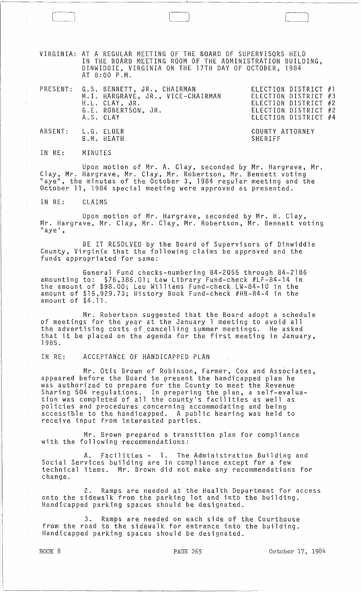VIRGINIA: AT A REGULAR MEETING OF THE BOARD OF SUPERVISORS HELD IN THE BOARD MEETING ROOM OF THE ADMINISTRATION BUILDING, DINWIDDIE, VIRGINIA ON THE 17TH DAY OF OCTOBER, 1984 AT 8:00 P.M.

|                    | PRESENT: G.S. BENNETT, JR., CHAIRMAN<br>M.I. HARGRAVE, JR., VICE-CHAIRMAN<br>H.L. CLAY, JR.<br>G.E. ROBERTSON, JR.<br>and the state of<br>A.S. CLAY | ELECTION DISTRICT #1<br>ELECTION DISTRICT #3<br>ELECTION DISTRICT #2<br>ELECTION DISTRICT #2<br>ELECTION DISTRICT #4 |
|--------------------|-----------------------------------------------------------------------------------------------------------------------------------------------------|----------------------------------------------------------------------------------------------------------------------|
| ABSENT: L.G. ELDER | B.M. HEATH                                                                                                                                          | COUNTY ATTORNEY<br>SHERIFF                                                                                           |

IN RE: MINUTES

[ l

Upon motion of Mr. A. Clay, seconded *by* Mr. Hargrave, Mr. Clay, Mr. Hargrave., Mr. Clay, Mr. Robertson, Mr. Bennett voting "aye", the minutes of the October 3, 1984 regular meeting and the October **11,** 1984 special meeting were approved as presented.

IN RE: CLAIMS

Upon motion of Mr. Hargrave, seconded by Mr. H. Clay, Mr. Hargrave, Mr. Clay, Mr. Clay, Mr. Robertson, Mr. Bennett voting<br>"aye',

BE IT RESOLVED by the Board of Supervisqrs of Dinwiddie County, Virginia that the following claims be approved and the funds appropriated for same:

General Fund checks-numbering 84-2055 through 84-2186 amounting to: \$76,386.01; Law Library Fund-check #LF-84-14 in the amount of \$98.00; Leo Williams Fund-check.LW-84-10 in the amount of \$15,929.73; History Book Fund-check #HB-84-4 in the amount of \$4.11.

Mr. Robertson suggested that the Board adopt a schedule of meetings for the year at the January 1 meeting to avoid all the advertising costs of cancelling summer meetings. He asked<br>that it be placed on the agenda for the first meeting in January, 1985.

IN RE: ACCEPTANCE OF HANDICAPPED PLAN

Mr. Otis Brown of Robinson, Farmer, Cox and Associates, appeared before the Board to present the handicapped plan he was authorized to prepare for the County to meet the Revenue Sharing 504 regulations. In preparing the plan, a self-evaluation was completed of all the county's.facilities as well as policies and procedures concerning accommodating and being accessible to the handicapped. A public hearing was held to receive input from interested parties.

Mr. Brown prepared a transition plan for compliance with the following recommendations:

A. Facilities - **1.**  Social Services building are in technical items. Mr. Brown did not make any recommendations for change. The Administration Building and compliance except for a few

2. Ramps are needed at the Health Department for access onto the sidewalk from the parking lot and into the building. ense she steed in the spaces should be designated.

3.. Ramps are needed on each side of the Courthouse from the road to the sidewalk for entrance into the building. Handicapped parking spaces should be designated.

BOOK 8 **PAGE 265** PAGE 265 October 17, 1984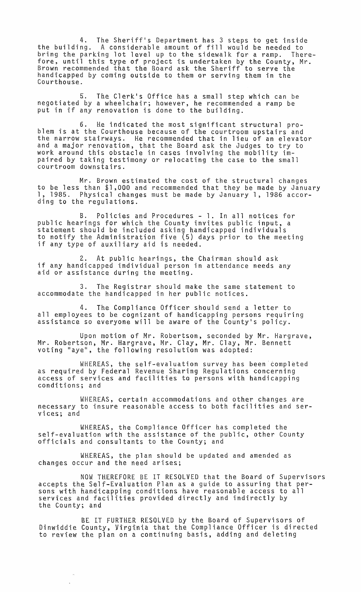4. The Sheriff's Department has 3 steps to get inside the building. A considerable amount of fill would be needed to bring the parking lot level up to the sidewalk for a ramp. Therefore, until this type of project is undertaken by the County, Mr. Brown recommended that the Board ask the Sheriff to serve the handicapped by coming outside to them or serving them in the Courthouse.

5. The Clerk's Office has a small step which can be negotiated by a wheelchair; however, he recommended a ramp be put in if any renovation is done to the building.

6. He indicated the most significant structural problem is at the Courthouse because of the courtroom upstairs and the narrow stairways. He recommended that in lieu of an elevator and a major renovation, that the Board ask the Judges to try to work around this obstacle in cases involving the mobility impaired by taking testimony or relocating the case to the small courtroom downstairs.

Mr. Brown estimated the cost of the structural changes to be less than \$1,000 and recommended that they be made by January 1, 1985. Physical changes must be made by January 1, 1986 according to the regulations.

B. Policies and Procedures - 1. In all notices for public hearings for which the County invites public input, a statement should be included asking handicapped individuals to notify the Administration five (5) days prior to the meeting if any type of auxiliary aid is needed.

At public hearings, the Chairman should ask if any handicapped individual person in attendance needs any aid or assistance during the meeting.

3. The Registrar should make the same statement to accommodate the handicapped in her public notices.

4. The Compliance Officer should send a letter to all employees to be cognizant of handicapping persons requiring assistance so everyone will be aware of the County's policy.

Upon motion of Mr. Robertson, seconded by Mr. Hargrave, Mr. Robertson, Mr. Hargrave, Mr. Clay, Mr. Clay, Mr. Bennett voting "aye", the following resolution was adopted:

WHEREAS, the self-evaluation survey has been completed as required by Federal Revenue Sharing Regulations concerning access of services and facilities to persons with handicapping conditions; and

WHEREAS, certain accommodations and other changes are necessary to insure reasonable access to both facilities and services; and

WHEREAS, the Compliance Officer has completed the self-evaluation with the assistance of the public, other County officials and consultants to the County; and

WHEREAS, the plan should be updated and amended as changes occur and the need arises;

NOW THEREFORE BE IT RESOLVED that the Board of Supervisors accepts the Self-Evaluation Plan as a guide to assuring that persons with handicapping conditions have reasonable access to all services and facilities provided directly and indirectly by the County; and

BE IT FURTHER RESOLVED by the Board of Supervisors of Dinwiddie County, Virginia that the Compliance Officer is directed to review the plan on a continuing basis, adding and deleting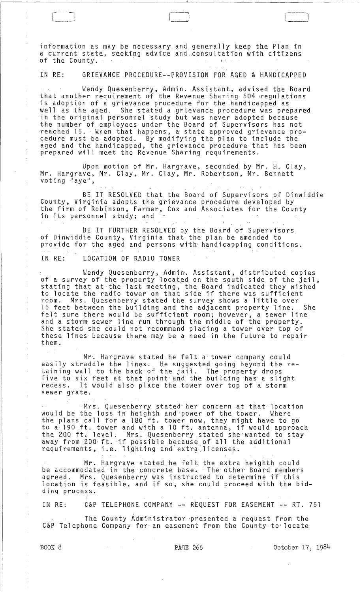information as may be necessary and generally keep the Plan in a current state, seeking advice and consultation with citizens<br>of the County. information as may be necessary and generally<br>a current state, seeking advice and consultat<br>of the County.<br>IN RE: GRIEVANCE PROCEDURE--PROVISION FOR

## IN RE: GRIEVANCE PROCEDURE--PROVISION FOR AGED & HANDICAPPED

Wendy Quesenberry, Admin. Assistant, advised the Board that another requirement of the Revenue Sharing 504 regulations is adoption of a grievance procedure for the handicapped as well as the aged. She stated a grievance procedure was prepared in the original personnel study but was never adopted because the number of employees under the Board of Supervisors has not ·reached 15. Wben that happens, a state approved grievance procedure must be adopted. By modifying the plan to include the aged and the handicapped, the grievance procedure that has been prepared will meet the Revenue Sharing requirements.

Upon motion of Mr. Hargrave, seconded by Mr. H. Clay, Mr. Hargrave, Mr. Clay, Mr. Clay, Mr. Robertson, Mr. Bennett which was ave, millionary, millionary, millioned extends to the second state of the second state of the second state of the second state of the second state of the second state of the second state of the second state of th

BE IT RESOLVED that the Board of Supervisors of Dinwiddie County, Virginia adopts the grievance procedure developed by the firm of Robinson, Farmer, Cox and Associates for the County<br>in its personnel study; and

BE IT FURTHER RESOLVED by the Board of Supervisors of Dinwiddie County, Virginia that the plan be amended to provide for the aged and persons with' handicapping conditions.

IN RE: LOCATION OF RADIO TOWER

 $\begin{array}{c} \square \end{array}$  $\begin{bmatrix} 1 & 1 \\ 1 & 1 \end{bmatrix}$ 

Wendy Quesenberry, Admin'. Assistant, distributed copies of a survey of the property located on the south side of the jail,<br>stating that at the last meeting, the Board indicated they wished to locate the radio tower on that side if there was sufficient room. Mrs. Quesenberry stated the survey shows a little over 15 feet between the building and the adjacent property line. She felt sure there would be sufficient room; however, a sewer line and a storm sewer line run through the middle of the property. She stated she could not recommend placing a tower over top of these lines because there may be a need in the future to repair<br>them.

Mr. Hargrave' stated he felt a'tower company could easily straddle the lines. He suggested going beyond the retaining wall to the back of the jail. The property drops five to six feet at that point-and the building has' a slight recess. It would also place the tower over top of a storm sewer grate.

Mrs. Quesenberry stated her concern at that location<br>the loss in heighth and power of the tower. Where would be the loss in heighth and power of the tower. the plans call for a 180 ft. tower now, they might have to go to a 190 ft. tower and with a 10 ft. antenna, if would approach the 200 ft. level. Mrs. Quesenberry stated she wanted to stay away from 200 ft. if possible because of all the additional away from 200 ft. If possible because of all the

Mr. Hargrave stated he felt the extra heighth could be accommodated in the concrete base. The other Board members agreed. Mrs. Quesenberry was instructed to determine if this location is feasible, and if so, she could proceed with the bidding process.

IN RE: C&P TELEPHONE COMPANY -- REQUEST FOR EASEMENT -- RT. 751

The County Administrator presented a request from the C&P Telephone Company for an easement from the County to locate

BOOK 8 **PAGE 266** PAGE 266 October 17, 1984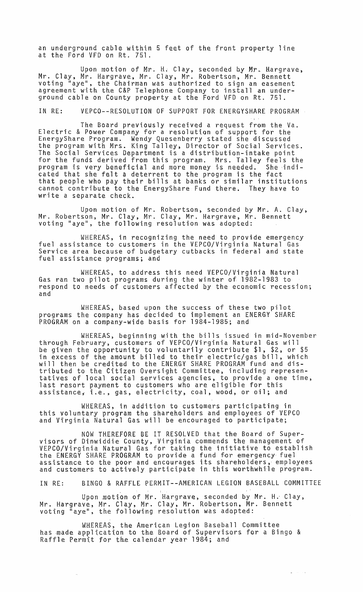an underground cable within 5 feet of the front property line at the Ford VFD on Rt. 751.

Upon motion of Mr. H. Clay, seconded by Mr. Hargrave, Mr. Clay, Mr. Hargrave, Mr. Clay, Mr. Robertson, Mr. Bennett voting "aye", the Chairman was authorized to sign an easement agreement with the C&P Telephone Company to install an underground cable on County property at the Ford VFD on Rt. 751.

IN RE: VEPCO--RESOLUTION OF SUPPORT FOR ENERGYSHARE PROGRAM

The Board previously received a request from the Va. Electric & Power Company for a resolution of support for the EnergyShare Program. Wendy Quesenberry stated she discussed the program with Mrs. King Talley, Director of Social Services. The Social Services Department is a distribution-intake point for the funds derived from this program. Mrs. Talley feels the program is very beneficial and more money ts needed. Sheindicated that she felt a deterrent to the program is the fact that people who pay their bills at banks or similar institutions cannot contribute to the EnergyShare Fund there. They have to write a separate check.

Upon motion of Mr. Robertson, seconded by Mr. A. Clay, Mr. Robertson, Mr. Clay, Mr. Clay, Mr. Hargrave, Mr. Bennett voting "aye", the following resolution was adopted:

WHEREAS, in recognizing the need to provide emergency fuel assistance to customers in the VEPCO/Virginia Natural Gas Service area because of budgetary cutbacks in federal and state fuel assistance programs; and

WHEREAS, to address this need VEPCO/Virginia Natural Gas ran two pilot programs during the winter of 1982-1983 to respond to needs of customers affected by the economic recession; and

WHEREAS, based upon the success of these two pilot programs the company has decided to implement an ENERGY SHARE PROGRAM on a company-wide basis for 1984-1985; and

WHEREAS, beginning with the bills issued in mid-November through February, customers of VEPCO/Virginia Natural Gas will be given the opportunity to voluntarily contribute \$1, \$2, or \$5 in excess of the amount billed to their electric/gas bill, which will then be credited to the ENERGY SHARE PROGRAM fund and distributed to the Citizen Oversight Committee, including representatives of local so~ial services agencies, to provide a one time, last resort payment to customers who are eligible for this assistance, i.e., gas, electricity, coal, wood, or oil; and

WHEREAS, in addition to customers participating in this voluntary program the shareholders and employees of VEPCO and Virginia Natural Gas will be encouraged to participate;

NOW THEREFORE BE IT RESOLVED that the Board of Supervisors of Dinwiddie County, Virginia commends the management of VEPCO/Virginia Natural Gas for taking the initiative to establish the ENERGY SHARE PROGRAM to provide a fund for emergency fuel assistance to the poor and encourages its shareholders, employees and customers to actively participate in this worthwhile program.

IN RE: BINGO & RAFFLE PERMIT--AMERICAN LEGION BASEBALL COMMITTEE

 $\omega$  . The second  $\omega$ 

Upon motion of Mr. Hargrave, seconded by Mr. H.- Clay, Mr. Hargrave, Mr. Clay, Mr. Clay, Mr. Robertson, Mr. Bennett voting "aye", the following resolution was adopted:

WHEREAS, the American Legion Baseball Committee has made application to the Board of Supervisors for a Bingo & Raffle Permit for the calendar year 1984; and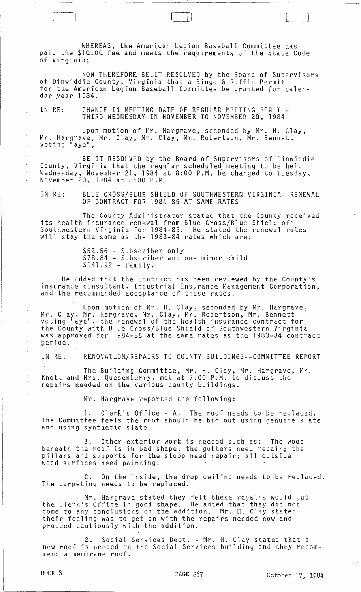WKEREAS, the American Legion Baseball Committee has paid the \$10.00 fee and meets the requirements of the State Code of Virginia;

 $\begin{pmatrix} 1 & 1 \\ 1 & 1 \end{pmatrix}$ 

NOW THEREFORE BE.IT RESOLVED by the Board of Supervisors of Dinwiddie County, Virginia that a Bingo & Raffle Permit<br>for the American Legion Baseball Committee be granted for calendar year 1984. .

IN RE: CKANGE IN MEETING DATE OF REGULAR MEETING FOR THE THIRD WEDNESDAY IN NOVEMBER TO NOVEMBER 20, 1984

Upon motion of Mr. Hargrave, seconded by Mr. H. Clay, Mr. Hargrave, Mr. Clay, Mr. Clay, Mr. Robertson, Mr. Bennett voting "aye",

BE IT RESOLVED by the Board of Supervisors of Dinwiddie County, Virginia that the regular scheduled meeting to be held Wednesday, November 21, 1984 at 8:00 P.M. be changed to Tuesday,<br>November 20, 1984 at 8:00 P.M.

IN RE: BLUE CROSS/BLUE SHIELD OF SOUTHWESTERN VIRGINIA--RENEWAL OF CONTRACT FOR 1984-85 AT SAME RATES

The County Administrator stated that the County received its health insurance renewal from Blue Cross/Blue Shield of' Southwestern Virginia for 1984-85. He stated the renewal rates will stay the same as the 1983-84 rates which are:

> \$52.56 - Subscriber only<br>\$78.84 - Subscriber and one minor child  $$141.92 - Family.$

He added that the Contract has been reviewed by the County's insurance consultant, Industrial Insurance Management Corporation, and the recommended acceptance of these rates.

Upon motion of Mr. H. Clay, seconded by Mr. Hargrave, Mr. Clay, Mr. Kargrave, Mr. Clay, Mr.'Robertson, Mr. Bennett voting "aye", the renewal of the health insurance contract for the County with Blue Cross/Blue Shield of Southwestern Virginia was approved for 1984-85 at the same rates as the 1983-84 contract period.

IN RE: RENOVATION/REPAIRS TO COUNTY BUILDINGS--COMMITTEE REPORT

The Building Committee, Mr. H. Clay, Mr. Hargrave, Mr. Knott and Mrs. Quesenberry, met at 7:00 P.M. to discuss the repairs needed on the vartous county buildings.

Mr. Hargrave reported the following:

Clerk's Office - A. The roof needs to be replaced. The Committee feels the roof should be bid out using genuine slate and using synthetic slate.

B. Other exterior work is needed such as: The wood beneath the roof is in bad shape; the gutters need repair; the pillars and supports for the stoop need repair; all outside wood surfaces need patnting.

C. On the inside, the drop ceiling needs to be replaced. The carpeting needs to be replaced.

Mr. Hargrave stated they felt these repairs would put the Clerk's Office in good shape. He added that they did not come to any conclusions on the addition. Mr. H. Clay stated their feeling was to get on with the repairs needed now and proceed cautiously with the addition.

2. Social Services Dept. - Mr. H. Clay stated that a new roof is needed on the Social Services building and they recommend a membrane roof.